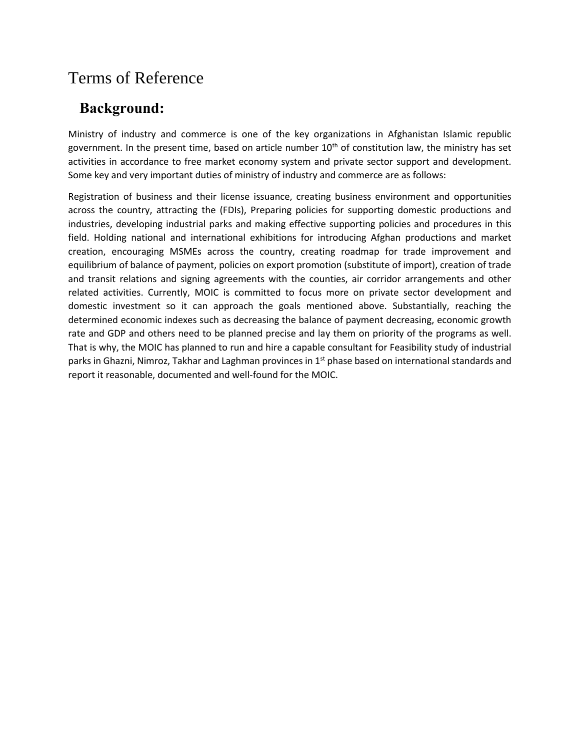# Terms of Reference

## **Background:**

Ministry of industry and commerce is one of the key organizations in Afghanistan Islamic republic government. In the present time, based on article number  $10<sup>th</sup>$  of constitution law, the ministry has set activities in accordance to free market economy system and private sector support and development. Some key and very important duties of ministry of industry and commerce are as follows:

Registration of business and their license issuance, creating business environment and opportunities across the country, attracting the (FDIs), Preparing policies for supporting domestic productions and industries, developing industrial parks and making effective supporting policies and procedures in this field. Holding national and international exhibitions for introducing Afghan productions and market creation, encouraging MSMEs across the country, creating roadmap for trade improvement and equilibrium of balance of payment, policies on export promotion (substitute of import), creation of trade and transit relations and signing agreements with the counties, air corridor arrangements and other related activities. Currently, MOIC is committed to focus more on private sector development and domestic investment so it can approach the goals mentioned above. Substantially, reaching the determined economic indexes such as decreasing the balance of payment decreasing, economic growth rate and GDP and others need to be planned precise and lay them on priority of the programs as well. That is why, the MOIC has planned to run and hire a capable consultant for Feasibility study of industrial parks in Ghazni, Nimroz, Takhar and Laghman provinces in 1<sup>st</sup> phase based on international standards and report it reasonable, documented and well-found for the MOIC.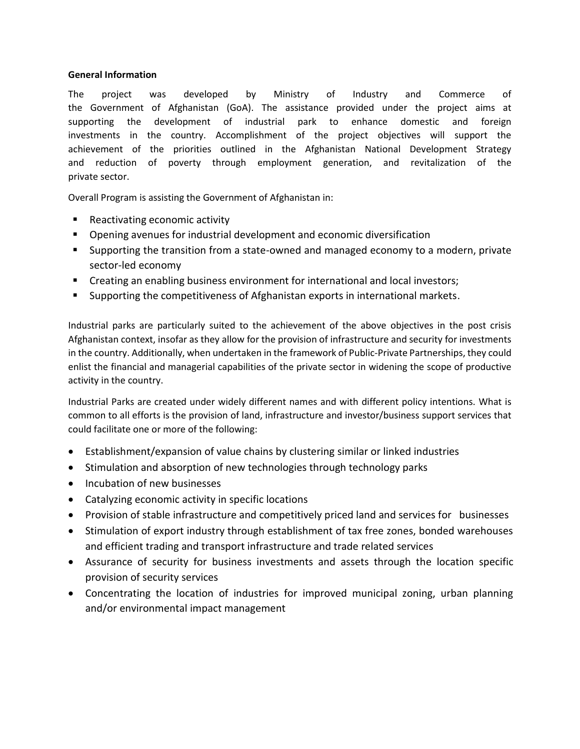#### **General Information**

The project was developed by Ministry of Industry and Commerce of the Government of Afghanistan (GoA). The assistance provided under the project aims at supporting the development of industrial park to enhance domestic and foreign investments in the country. Accomplishment of the project objectives will support the achievement of the priorities outlined in the Afghanistan National Development Strategy and reduction of poverty through employment generation, and revitalization of the private sector.

Overall Program is assisting the Government of Afghanistan in:

- Reactivating economic activity
- Opening avenues for industrial development and economic diversification
- Supporting the transition from a state-owned and managed economy to a modern, private sector-led economy
- **EXP** Creating an enabling business environment for international and local investors;
- **Supporting the competitiveness of Afghanistan exports in international markets.**

Industrial parks are particularly suited to the achievement of the above objectives in the post crisis Afghanistan context, insofar as they allow for the provision of infrastructure and security for investments in the country. Additionally, when undertaken in the framework of Public-Private Partnerships, they could enlist the financial and managerial capabilities of the private sector in widening the scope of productive activity in the country.

Industrial Parks are created under widely different names and with different policy intentions. What is common to all efforts is the provision of land, infrastructure and investor/business support services that could facilitate one or more of the following:

- Establishment/expansion of value chains by clustering similar or linked industries
- Stimulation and absorption of new technologies through technology parks
- Incubation of new businesses
- Catalyzing economic activity in specific locations
- Provision of stable infrastructure and competitively priced land and services for businesses
- Stimulation of export industry through establishment of tax free zones, bonded warehouses and efficient trading and transport infrastructure and trade related services
- Assurance of security for business investments and assets through the location specific provision of security services
- Concentrating the location of industries for improved municipal zoning, urban planning and/or environmental impact management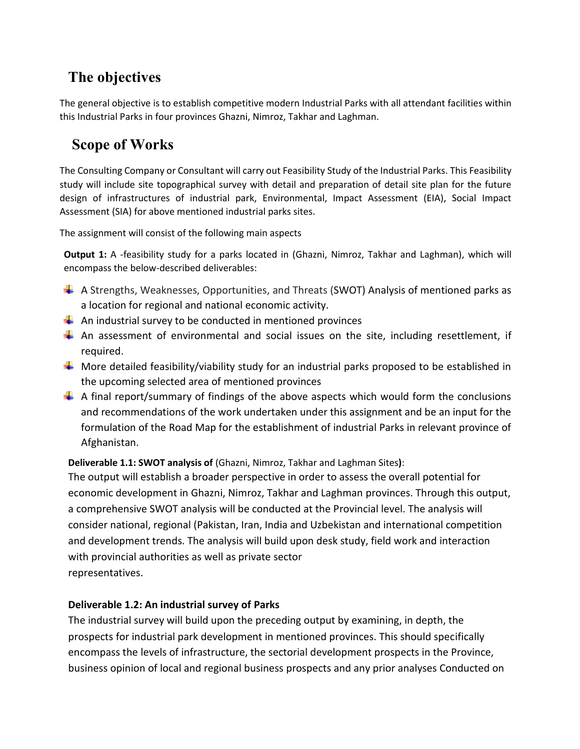# **The objectives**

The general objective is to establish competitive modern Industrial Parks with all attendant facilities within this Industrial Parks in four provinces Ghazni, Nimroz, Takhar and Laghman.

### **Scope of Works**

The Consulting Company or Consultant will carry out Feasibility Study of the Industrial Parks. This Feasibility study will include site topographical survey with detail and preparation of detail site plan for the future design of infrastructures of industrial park, Environmental, Impact Assessment (EIA), Social Impact Assessment (SIA) for above mentioned industrial parks sites.

The assignment will consist of the following main aspects

**Output 1:** A -feasibility study for a parks located in (Ghazni, Nimroz, Takhar and Laghman), which will encompass the below-described deliverables:

- $\downarrow$  A Strengths, Weaknesses, Opportunities, and Threats (SWOT) Analysis of mentioned parks as a location for regional and national economic activity.
- $\frac{1}{2}$  An industrial survey to be conducted in mentioned provinces
- $\uparrow$  An assessment of environmental and social issues on the site, including resettlement, if required.
- $\Box$  More detailed feasibility/viability study for an industrial parks proposed to be established in the upcoming selected area of mentioned provinces
- $\uparrow$  A final report/summary of findings of the above aspects which would form the conclusions and recommendations of the work undertaken under this assignment and be an input for the formulation of the Road Map for the establishment of industrial Parks in relevant province of Afghanistan.

**Deliverable 1.1: SWOT analysis of** (Ghazni, Nimroz, Takhar and Laghman Sites**)**:

The output will establish a broader perspective in order to assess the overall potential for economic development in Ghazni, Nimroz, Takhar and Laghman provinces. Through this output, a comprehensive SWOT analysis will be conducted at the Provincial level. The analysis will consider national, regional (Pakistan, Iran, India and Uzbekistan and international competition and development trends. The analysis will build upon desk study, field work and interaction with provincial authorities as well as private sector representatives.

#### **Deliverable 1.2: An industrial survey of Parks**

The industrial survey will build upon the preceding output by examining, in depth, the prospects for industrial park development in mentioned provinces. This should specifically encompass the levels of infrastructure, the sectorial development prospects in the Province, business opinion of local and regional business prospects and any prior analyses Conducted on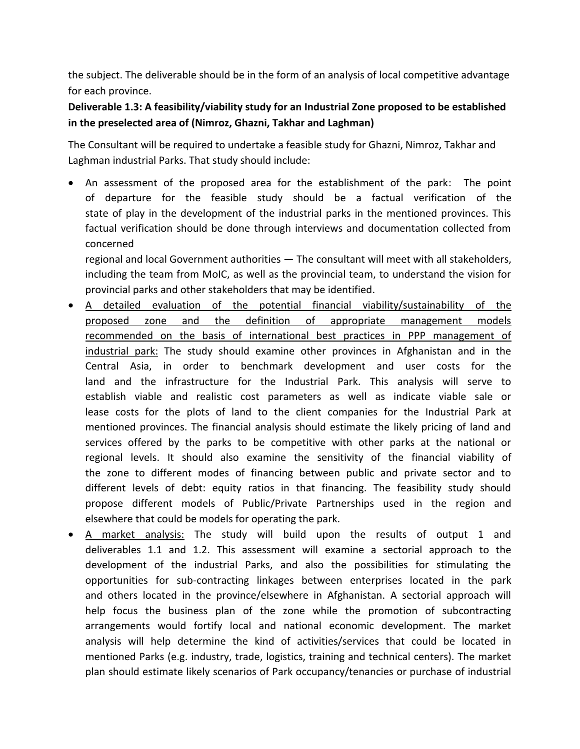the subject. The deliverable should be in the form of an analysis of local competitive advantage for each province.

**Deliverable 1.3: A feasibility/viability study for an Industrial Zone proposed to be established in the preselected area of (Nimroz, Ghazni, Takhar and Laghman)**

The Consultant will be required to undertake a feasible study for Ghazni, Nimroz, Takhar and Laghman industrial Parks. That study should include:

 An assessment of the proposed area for the establishment of the park: The point of departure for the feasible study should be a factual verification of the state of play in the development of the industrial parks in the mentioned provinces. This factual verification should be done through interviews and documentation collected from concerned

regional and local Government authorities — The consultant will meet with all stakeholders, including the team from MoIC, as well as the provincial team, to understand the vision for provincial parks and other stakeholders that may be identified.

- A detailed evaluation of the potential financial viability/sustainability of the proposed zone and the definition of appropriate management models recommended on the basis of international best practices in PPP management of industrial park: The study should examine other provinces in Afghanistan and in the Central Asia, in order to benchmark development and user costs for the land and the infrastructure for the Industrial Park. This analysis will serve to establish viable and realistic cost parameters as well as indicate viable sale or lease costs for the plots of land to the client companies for the Industrial Park at mentioned provinces. The financial analysis should estimate the likely pricing of land and services offered by the parks to be competitive with other parks at the national or regional levels. It should also examine the sensitivity of the financial viability of the zone to different modes of financing between public and private sector and to different levels of debt: equity ratios in that financing. The feasibility study should propose different models of Public/Private Partnerships used in the region and elsewhere that could be models for operating the park.
- A market analysis: The study will build upon the results of output 1 and deliverables 1.1 and 1.2. This assessment will examine a sectorial approach to the development of the industrial Parks, and also the possibilities for stimulating the opportunities for sub-contracting linkages between enterprises located in the park and others located in the province/elsewhere in Afghanistan. A sectorial approach will help focus the business plan of the zone while the promotion of subcontracting arrangements would fortify local and national economic development. The market analysis will help determine the kind of activities/services that could be located in mentioned Parks (e.g. industry, trade, logistics, training and technical centers). The market plan should estimate likely scenarios of Park occupancy/tenancies or purchase of industrial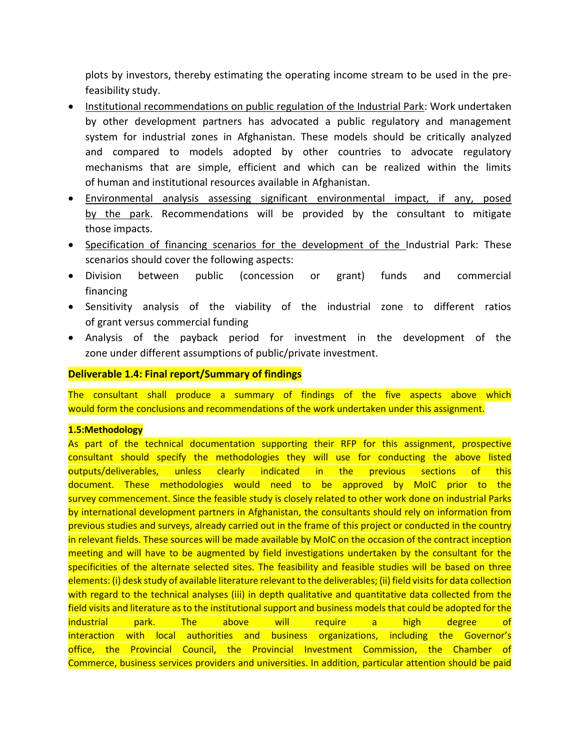plots by investors, thereby estimating the operating income stream to be used in the prefeasibility study.

- Institutional recommendations on public regulation of the Industrial Park: Work undertaken by other development partners has advocated a public regulatory and management system for industrial zones in Afghanistan. These models should be critically analyzed and compared to models adopted by other countries to advocate regulatory mechanisms that are simple, efficient and which can be realized within the limits of human and institutional resources available in Afghanistan.
- Environmental analysis assessing significant environmental impact, if any, posed by the park. Recommendations will be provided by the consultant to mitigate those impacts.
- Specification of financing scenarios for the development of the Industrial Park: These scenarios should cover the following aspects:
- Division between public (concession or grant) funds and commercial financing
- Sensitivity analysis of the viability of the industrial zone to different ratios of grant versus commercial funding
- Analysis of the payback period for investment in the development of the zone under different assumptions of public/private investment.

#### **Deliverable 1.4: Final report/Summary of findings**

The consultant shall produce a summary of findings of the five aspects above which would form the conclusions and recommendations of the work undertaken under this assignment.

#### **1.5:Methodology**

As part of the technical documentation supporting their RFP for this assignment, prospective consultant should specify the methodologies they will use for conducting the above listed outputs/deliverables, unless clearly indicated in the previous sections of this document. These methodologies would need to be approved by MoIC prior to the survey commencement. Since the feasible study is closely related to other work done on industrial Parks by international development partners in Afghanistan, the consultants should rely on information from previous studies and surveys, already carried out in the frame of this project or conducted in the country in relevant fields. These sources will be made available by MoIC on the occasion of the contract inception meeting and will have to be augmented by field investigations undertaken by the consultant for the specificities of the alternate selected sites. The feasibility and feasible studies will be based on three elements: (i) desk study of available literature relevant to the deliverables; (ii) field visits for data collection with regard to the technical analyses (iii) in depth qualitative and quantitative data collected from the field visits and literature as to the institutional support and business models that could be adopted for the industrial park. The above will require a high degree of interaction with local authorities and business organizations, including the Governor's office, the Provincial Council, the Provincial Investment Commission, the Chamber of Commerce, business services providers and universities. In addition, particular attention should be paid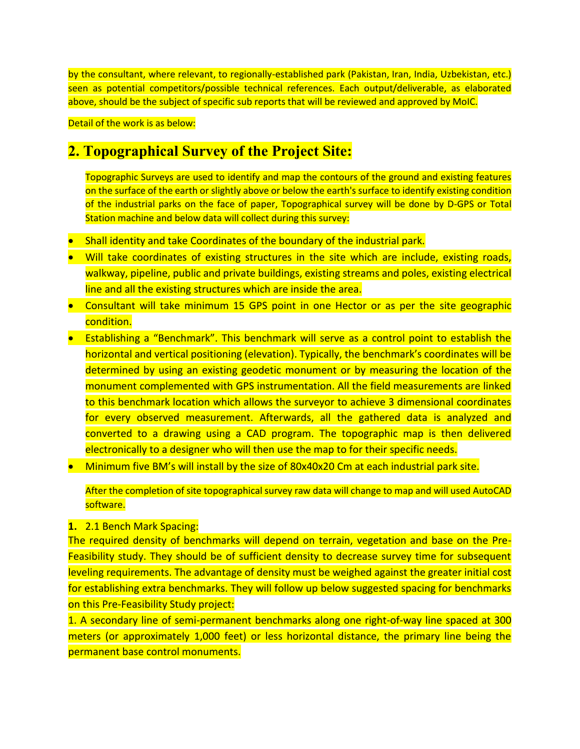by the consultant, where relevant, to regionally-established park (Pakistan, Iran, India, Uzbekistan, etc.) seen as potential competitors/possible technical references. Each output/deliverable, as elaborated above, should be the subject of specific sub reports that will be reviewed and approved by MoIC.

Detail of the work is as below:

### **2. Topographical Survey of the Project Site:**

Topographic Surveys are used to identify and map the contours of the ground and existing features on the surface of the earth or slightly above or below the earth's surface to identify existing condition of the industrial parks on the face of paper, Topographical survey will be done by D-GPS or Total Station machine and below data will collect during this survey:

- **Shall identity and take Coordinates of the boundary of the industrial park.**
- Will take coordinates of existing structures in the site which are include, existing roads, walkway, pipeline, public and private buildings, existing streams and poles, existing electrical line and all the existing structures which are inside the area.
- Consultant will take minimum 15 GPS point in one Hector or as per the site geographic condition.
- **•** Establishing a "Benchmark". This benchmark will serve as a control point to establish the horizontal and vertical positioning (elevation). Typically, the benchmark's coordinates will be determined by using an existing geodetic monument or by measuring the location of the monument complemented with GPS instrumentation. All the field measurements are linked to this benchmark location which allows the surveyor to achieve 3 dimensional coordinates for every observed measurement. Afterwards, all the gathered data is analyzed and converted to a drawing using a CAD program. The topographic map is then delivered electronically to a designer who will then use the map to for their specific needs.
- Minimum five BM's will install by the size of 80x40x20 Cm at each industrial park site.

After the completion of site topographical survey raw data will change to map and will used AutoCAD software.

#### **1.** 2.1 Bench Mark Spacing:

The required density of benchmarks will depend on terrain, vegetation and base on the Pre-Feasibility study. They should be of sufficient density to decrease survey time for subsequent leveling requirements. The advantage of density must be weighed against the greater initial cost for establishing extra benchmarks. They will follow up below suggested spacing for benchmarks on this Pre-Feasibility Study project:

1. A secondary line of semi-permanent benchmarks along one right-of-way line spaced at 300 meters (or approximately 1,000 feet) or less horizontal distance, the primary line being the permanent base control monuments.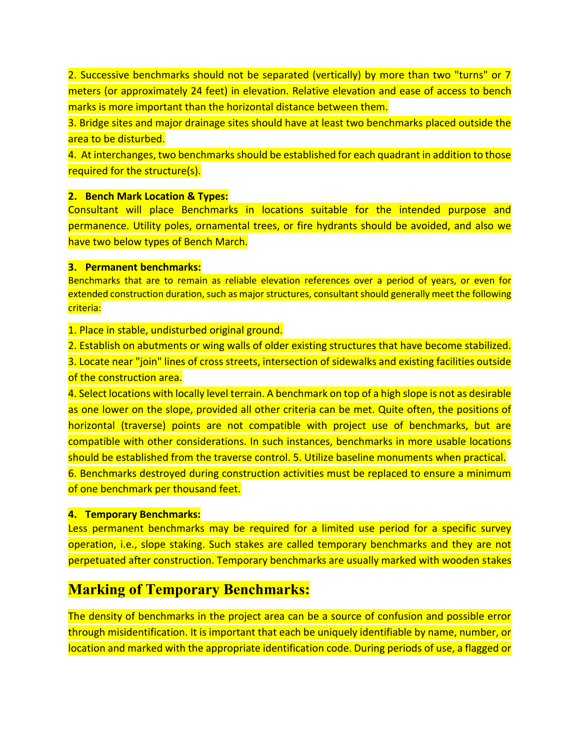2. Successive benchmarks should not be separated (vertically) by more than two "turns" or 7 meters (or approximately 24 feet) in elevation. Relative elevation and ease of access to bench marks is more important than the horizontal distance between them.

3. Bridge sites and major drainage sites should have at least two benchmarks placed outside the area to be disturbed.

4. At interchanges, two benchmarks should be established for each quadrant in addition to those required for the structure(s).

#### **2. Bench Mark Location & Types:**

Consultant will place Benchmarks in locations suitable for the intended purpose and permanence. Utility poles, ornamental trees, or fire hydrants should be avoided, and also we have two below types of Bench March.

#### **3. Permanent benchmarks:**

Benchmarks that are to remain as reliable elevation references over a period of years, or even for extended construction duration, such as major structures, consultant should generally meet the following criteria:

1. Place in stable, undisturbed original ground.

2. Establish on abutments or wing walls of older existing structures that have become stabilized.

3. Locate near "join" lines of cross streets, intersection of sidewalks and existing facilities outside of the construction area.

4. Select locations with locally level terrain. A benchmark on top of a high slope is not as desirable as one lower on the slope, provided all other criteria can be met. Quite often, the positions of horizontal (traverse) points are not compatible with project use of benchmarks, but are compatible with other considerations. In such instances, benchmarks in more usable locations should be established from the traverse control. 5. Utilize baseline monuments when practical. 6. Benchmarks destroyed during construction activities must be replaced to ensure a minimum of one benchmark per thousand feet.

#### **4. Temporary Benchmarks:**

Less permanent benchmarks may be required for a limited use period for a specific survey operation, i.e., slope staking. Such stakes are called temporary benchmarks and they are not perpetuated after construction. Temporary benchmarks are usually marked with wooden stakes

### **Marking of Temporary Benchmarks:**

The density of benchmarks in the project area can be a source of confusion and possible error through misidentification. It is important that each be uniquely identifiable by name, number, or location and marked with the appropriate identification code. During periods of use, a flagged or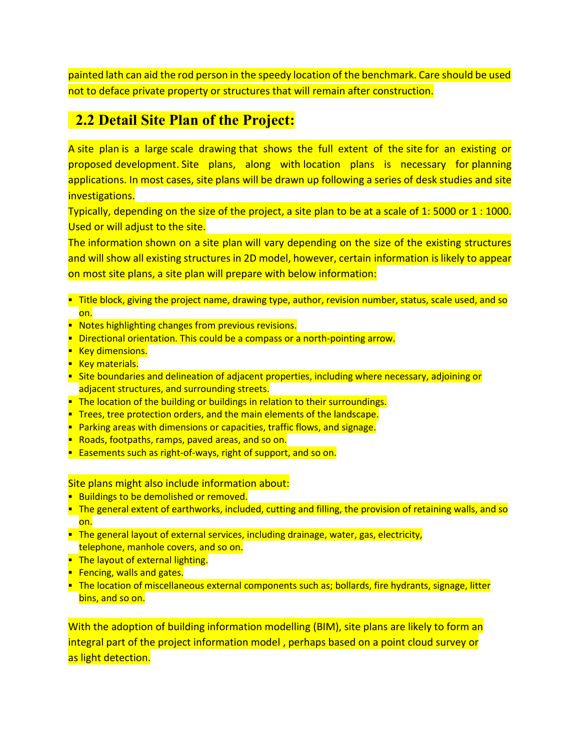painted lath can aid the rod person in the speedy location of the benchmark. Care should be used not to deface private property or structures that will remain after construction.

### **2.2 Detail Site Plan of the Project:**

A site plan is a large [scale drawing](about:blank) that shows the full extent of the [site](about:blank) for an existing or proposed [development.](about:blank) Site plans, along with [location plans](about:blank) is necessary for [planning](about:blank)  [applications.](about:blank) In most cases, site plans will be [drawn](about:blank) up following a series of [desk studies](about:blank) and site [investigations.](about:blank)

Typically, depending on the size of the [project,](about:blank) a site plan to be at a [scale](about:blank) of 1: 5000 or 1 : 1000. Used or will adjust to the site.

The [information](about:blank) shown on a site plan will vary depending on the size of the existing structures and will show all existing structures in 2D model, however, certain [information](about:blank) is likely to appear on most site plans, a site plan will prepare with below information:

- **Title [block,](about:blank) giving the [project](about:blank) name, [drawing](about:blank) type, author, revision number, status, [scale](about:blank) used, and so** on.
- **Notes highlighting changes from previous revisions.**
- Directional orientation. This could be a compass or a north[-pointing](about:blank) arrow.
- **Key [dimensions.](about:blank)**
- **Key [materials.](about:blank)**
- [Site boundaries](about:blank) and delineation of adjacent [properties,](about:blank) including where necessary, adjoining or adjacent [structures,](about:blank) and surrounding streets.
- **The [location](about:blank) of the [building](about:blank) or [buildings](about:blank) in relation to their surroundings.**
- **[Trees,](about:blank) [tree protection orders,](about:blank) and the main [elements](about:blank) of the [landscape.](about:blank)**
- **[Parking](about:blank) [areas](about:blank) with [dimensions](about:blank) or [capacities,](about:blank) [traffic](about:blank) flows, and [signage.](about:blank)**
- **[Roads,](about:blank) footpaths, [ramps,](about:blank) paved [areas,](about:blank) and so on.**
- **[Easements](about:blank) such as right-of-ways, [right of support,](about:blank) and so on.**

Site plans might also include [information](about:blank) about:

- **[Buildings](about:blank) to be demolished or removed.**
- The general extent of [earthworks,](about:blank) included, cutting and filling, the provision of [retaining walls,](about:blank) and so on.
- **The general [layout](about:blank) of external [services,](about:blank) including [drainage,](about:blank) [water,](about:blank) [gas,](about:blank) [electricity,](about:blank)** telephone, [manhole](about:blank) covers, and so on.
- The [layout](about:blank) of external [lighting.](about:blank)
- **[Fencing,](about:blank) [walls](about:blank) and gates.**
- The [location](about:blank) of miscellaneous external [components](about:blank) such as; [bollards,](about:blank) [fire](about:blank) hydrants, [signage,](about:blank) litter bins, and so on.

With the [adoption](about:blank) of [building information modelling](about:blank) [\(BIM\)](about:blank), site plans are likely to [form](about:blank) an integral part of the [project information model](about:blank) , perhaps based on a [point cloud survey](about:blank) or as [light](about:blank) detection.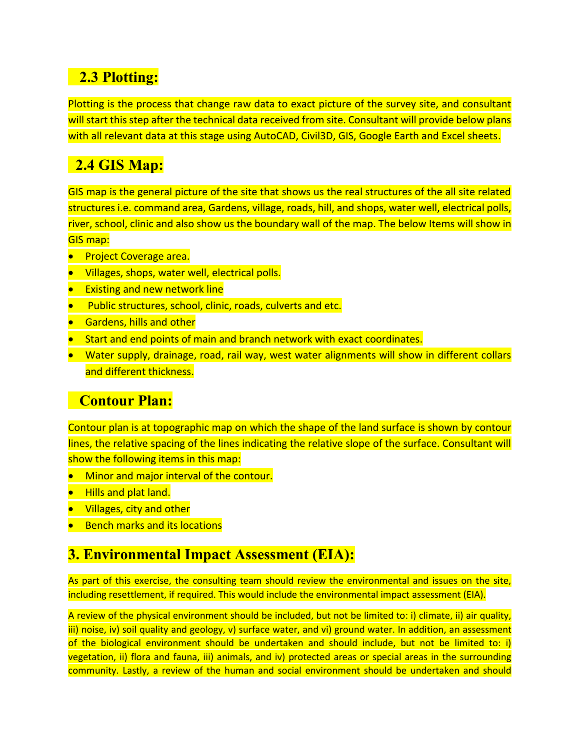# **2.3 Plotting:**

Plotting is the process that change raw data to exact picture of the survey site, and consultant will start this step after the technical data received from site. Consultant will provide below plans with all relevant data at this stage using AutoCAD, Civil3D, GIS, Google Earth and Excel sheets.

# **2.4 GIS Map:**

GIS map is the general picture of the site that shows us the real structures of the all site related structures i.e. command area, Gardens, village, roads, hill, and shops, water well, electrical polls, river, school, clinic and also show us the boundary wall of the map. The below Items will show in GIS map:

- **•** Project Coverage area.
- **•** Villages, shops, water well, electrical polls.
- **Existing and new network line**
- Public structures, school, clinic, roads, culverts and etc.
- **•** Gardens, hills and other
- Start and end points of main and branch network with exact coordinates.
- Water supply, drainage, road, rail way, west water alignments will show in different collars and different thickness.

### **Contour Plan:**

Contour plan is at topographic map on which the shape of the land surface is shown by contour lines, the relative spacing of the lines indicating the relative slope of the surface. Consultant will show the following items in this map:

- **•** Minor and major interval of the contour.
- Hills and plat land.
- Villages, city and other
- **Bench marks and its locations**

### **3. Environmental Impact Assessment (EIA):**

As part of this exercise, the consulting team should review the environmental and issues on the site, including resettlement, if required. This would include the environmental impact assessment (EIA).

A review of the physical environment should be included, but not be limited to: i) climate, ii) air quality, iii) noise, iv) soil quality and geology, v) surface water, and vi) ground water. In addition, an assessment of the biological environment should be undertaken and should include, but not be limited to: i) vegetation, ii) flora and fauna, iii) animals, and iv) protected areas or special areas in the surrounding community. Lastly, a review of the human and social environment should be undertaken and should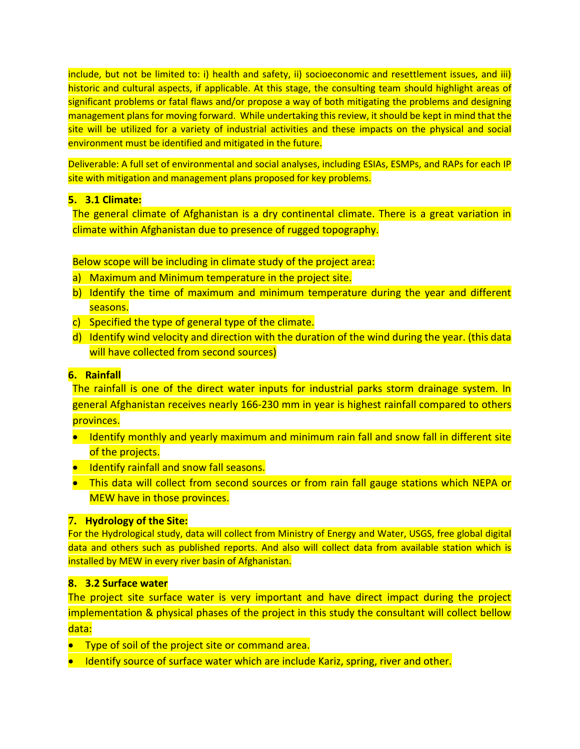include, but not be limited to: i) health and safety, ii) socioeconomic and resettlement issues, and iii) historic and cultural aspects, if applicable. At this stage, the consulting team should highlight areas of significant problems or fatal flaws and/or propose a way of both mitigating the problems and designing management plans for moving forward. While undertaking this review, it should be kept in mind that the site will be utilized for a variety of industrial activities and these impacts on the physical and social environment must be identified and mitigated in the future.

Deliverable: A full set of environmental and social analyses, including ESIAs, ESMPs, and RAPs for each IP site with mitigation and management plans proposed for key problems.

#### **5. 3.1 Climate:**

The general climate of Afghanistan is a dry continental climate. There is a great variation in climate within Afghanistan due to presence of rugged topography.

Below scope will be including in climate study of the project area:

- a) Maximum and Minimum temperature in the project site.
- b) Identify the time of maximum and minimum temperature during the year and different seasons.
- c) Specified the type of general type of the climate.
- d) Identify wind velocity and direction with the duration of the wind during the year. (this data will have collected from second sources)

#### **6. Rainfall**

The rainfall is one of the direct water inputs for industrial parks storm drainage system. In general Afghanistan receives nearly 166-230 mm in year is highest rainfall compared to others provinces.

- Identify monthly and yearly maximum and minimum rain fall and snow fall in different site of the projects.
- **I** Identify rainfall and snow fall seasons.
- This data will collect from second sources or from rain fall gauge stations which NEPA or MEW have in those provinces.

#### **7. Hydrology of the Site:**

For the Hydrological study, data will collect from Ministry of Energy and Water, USGS, free global digital data and others such as published reports. And also will collect data from available station which is installed by MEW in every river basin of Afghanistan.

#### **8. 3.2 Surface water**

The project site surface water is very important and have direct impact during the project implementation & physical phases of the project in this study the consultant will collect bellow data:

- **•** Type of soil of the project site or command area.
- **I** Identify source of surface water which are include Kariz, spring, river and other.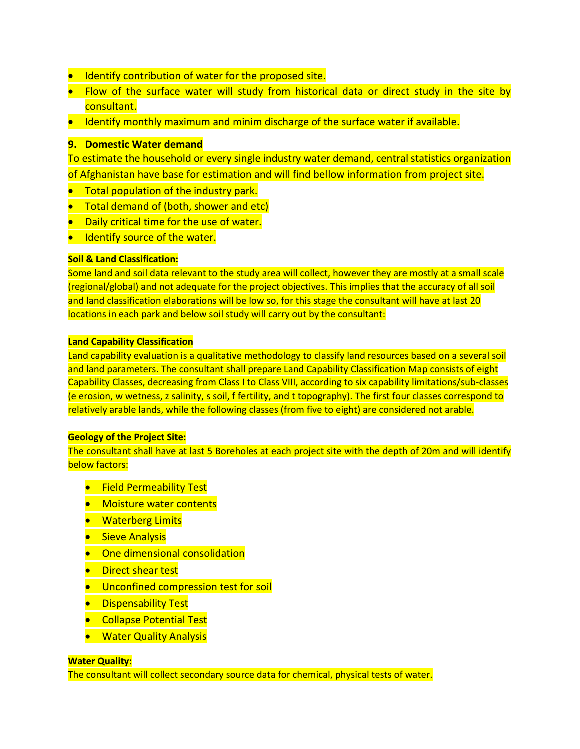- **•** Identify contribution of water for the proposed site.
- Flow of the surface water will study from historical data or direct study in the site by consultant.
- Identify monthly maximum and minim discharge of the surface water if available.

#### **9. Domestic Water demand**

To estimate the household or every single industry water demand, central statistics organization of Afghanistan have base for estimation and will find bellow information from project site.

- Total population of the industry park.
- Total demand of (both, shower and etc)
- Daily critical time for the use of water.
- Identify source of the water.

#### **Soil & Land Classification:**

Some land and soil data relevant to the study area will collect, however they are mostly at a small scale (regional/global) and not adequate for the project objectives. This implies that the accuracy of all soil and land classification elaborations will be low so, for this stage the consultant will have at last 20 locations in each park and below soil study will carry out by the consultant:

#### **Land Capability Classification**

Land capability evaluation is a qualitative methodology to classify land resources based on a several soil and land parameters. The consultant shall prepare Land Capability Classification Map consists of eight Capability Classes, decreasing from Class I to Class VIII, according to six capability limitations/sub-classes (e erosion, w wetness, z salinity, s soil, f fertility, and t topography). The first four classes correspond to relatively arable lands, while the following classes (from five to eight) are considered not arable.

#### **Geology of the Project Site:**

The consultant shall have at last 5 Boreholes at each project site with the depth of 20m and will identify below factors:

- **•** Field Permeability Test
- **•** Moisture water contents
- **•** Waterberg Limits
- **•** Sieve Analysis
- **•** One dimensional consolidation
- Direct shear test
- **Unconfined compression test for soil**
- **•** Dispensability Test
- **•** Collapse Potential Test
- **•** Water Quality Analysis

#### **Water Quality:**

The consultant will collect secondary source data for chemical, physical tests of water.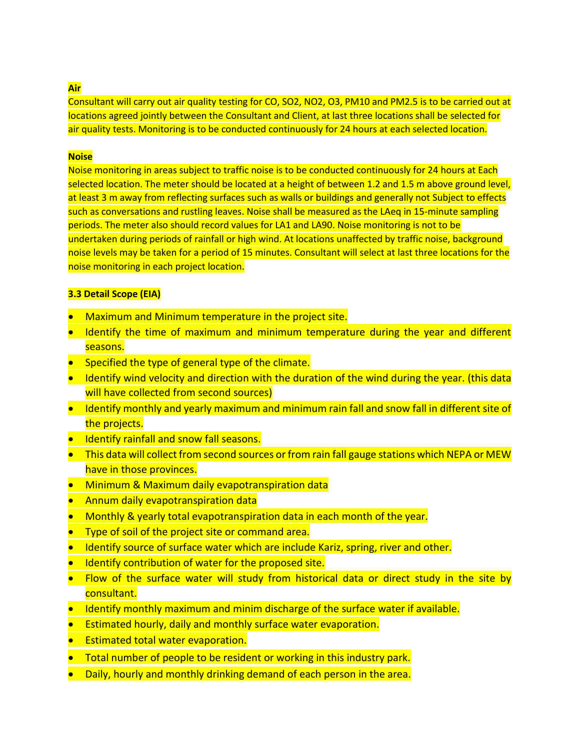#### **Air**

Consultant will carry out air quality testing for CO, SO2, NO2, O3, PM10 and PM2.5 is to be carried out at locations agreed jointly between the Consultant and Client, at last three locations shall be selected for air quality tests. Monitoring is to be conducted continuously for 24 hours at each selected location.

#### **Noise**

Noise monitoring in areas subject to traffic noise is to be conducted continuously for 24 hours at Each selected location. The meter should be located at a height of between 1.2 and 1.5 m above ground level, at least 3 m away from reflecting surfaces such as walls or buildings and generally not Subject to effects such as conversations and rustling leaves. Noise shall be measured as the LAeq in 15-minute sampling periods. The meter also should record values for LA1 and LA90. Noise monitoring is not to be undertaken during periods of rainfall or high wind. At locations unaffected by traffic noise, background noise levels may be taken for a period of 15 minutes. Consultant will select at last three locations for the noise monitoring in each project location.

#### **3.3 Detail Scope (EIA)**

- Maximum and Minimum temperature in the project site.
- Identify the time of maximum and minimum temperature during the year and different seasons.
- Specified the type of general type of the climate.
- Identify wind velocity and direction with the duration of the wind during the year. (this data will have collected from second sources)
- Identify monthly and yearly maximum and minimum rain fall and snow fall in different site of the projects.
- **Identify rainfall and snow fall seasons.**
- This data will collect from second sources or from rain fall gauge stations which NEPA or MEW have in those provinces.
- **Minimum & Maximum daily evapotranspiration data**
- Annum daily evapotranspiration data
- Monthly & yearly total evapotranspiration data in each month of the year.
- Type of soil of the project site or command area.
- Identify source of surface water which are include Kariz, spring, river and other.
- **•** Identify contribution of water for the proposed site.
- Flow of the surface water will study from historical data or direct study in the site by consultant.
- Identify monthly maximum and minim discharge of the surface water if available.
- Estimated hourly, daily and monthly surface water evaporation.
- **Estimated total water evaporation.**
- Total number of people to be resident or working in this industry park.
- Daily, hourly and monthly drinking demand of each person in the area.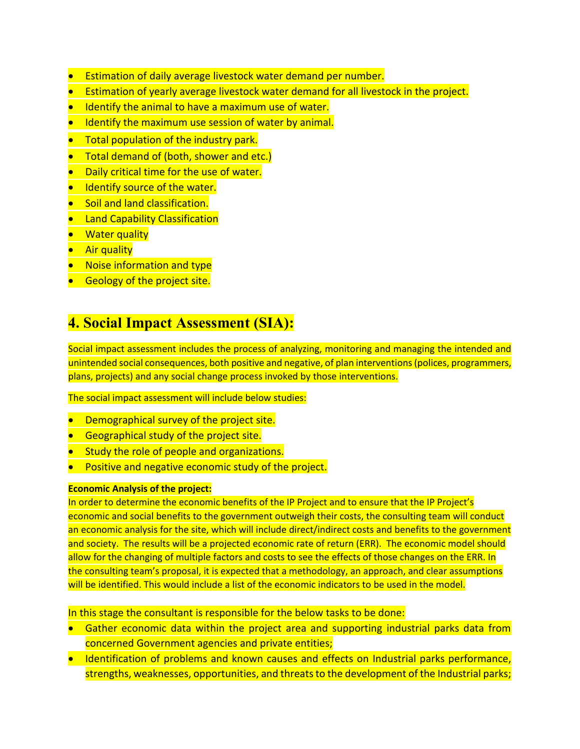- Estimation of daily average livestock water demand per number.
- Estimation of yearly average livestock water demand for all livestock in the project.
- Identify the animal to have a maximum use of water.
- Identify the maximum use session of water by animal.
- **Total population of the industry park.**
- Total demand of (both, shower and etc.)
- **Daily critical time for the use of water.**
- Identify source of the water.
- **Soil and land classification.**
- **Land Capability Classification**
- **Water quality**
- **Air quality**
- Noise information and type
- **Geology of the project site.**

### **4. Social Impact Assessment (SIA):**

Social impact assessment includes the process of analyzing, monitoring and managing the intended and unintended social consequences, both positive and negative, of plan interventions (polices, programmers, plans, projects) and any social change process invoked by those interventions.

The social impact assessment will include below studies:

- Demographical survey of the project site.
- **•** Geographical study of the project site.
- **Study the role of people and organizations.**
- Positive and negative economic study of the project.

#### **Economic Analysis of the project:**

In order to determine the economic benefits of the IP Project and to ensure that the IP Project's economic and social benefits to the government outweigh their costs, the consulting team will conduct an economic analysis for the site, which will include direct/indirect costs and benefits to the government and society. The results will be a projected economic rate of return (ERR). The economic model should allow for the changing of multiple factors and costs to see the effects of those changes on the ERR. In the consulting team's proposal, it is expected that a methodology, an approach, and clear assumptions will be identified. This would include a list of the economic indicators to be used in the model.

In this stage the consultant is responsible for the below tasks to be done:

- Gather economic data within the project area and supporting industrial parks data from concerned Government agencies and private entities;
- Identification of problems and known causes and effects on Industrial parks performance, strengths, weaknesses, opportunities, and threats to the development of the Industrial parks;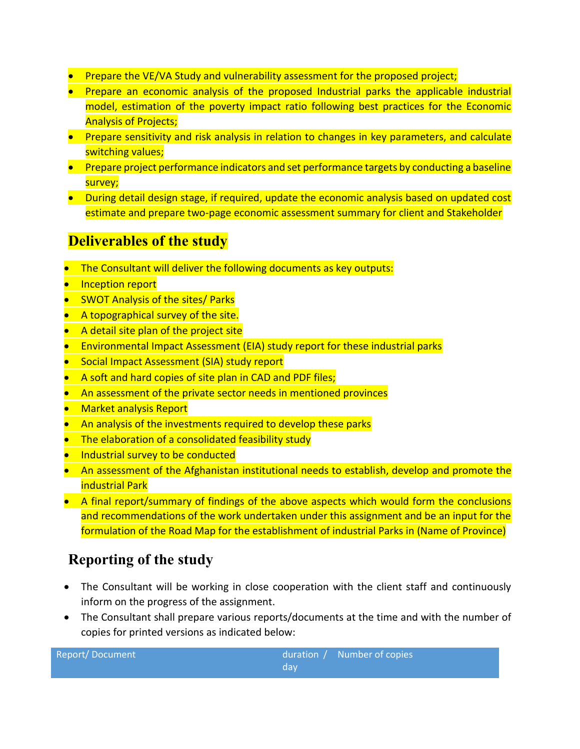- Prepare the VE/VA Study and vulnerability assessment for the proposed project;
- Prepare an economic analysis of the proposed Industrial parks the applicable industrial model, estimation of the poverty impact ratio following best practices for the Economic Analysis of Projects;
- **Prepare sensitivity and risk analysis in relation to changes in key parameters, and calculate** switching values;
- **Prepare project performance indicators and set performance targets by conducting a baseline** survey;
- During detail design stage, if required, update the economic analysis based on updated cost estimate and prepare two-page economic assessment summary for client and Stakeholder

### **Deliverables of the study**

- The Consultant will deliver the following documents as key outputs:
- Inception report
- SWOT Analysis of the sites/ Parks
- A topographical survey of the site.
- A detail site plan of the project site
- Environmental Impact Assessment (EIA) study report for these industrial parks
- Social Impact Assessment (SIA) study report
- A soft and hard copies of site plan in CAD and PDF files;
- An assessment of the private sector needs in mentioned provinces
- Market analysis Report
- An analysis of the investments required to develop these parks
- The elaboration of a consolidated feasibility study
- Industrial survey to be conducted
- An assessment of the Afghanistan institutional needs to establish, develop and promote the industrial Park
- A final report/summary of findings of the above aspects which would form the conclusions and recommendations of the work undertaken under this assignment and be an input for the formulation of the Road Map for the establishment of industrial Parks in (Name of Province)

### **Reporting of the study**

Report/Document

- The Consultant will be working in close cooperation with the client staff and continuously inform on the progress of the assignment.
- The Consultant shall prepare various reports/documents at the time and with the number of copies for printed versions as indicated below:

| duration $/$ | Number of copies |
|--------------|------------------|
| dav          |                  |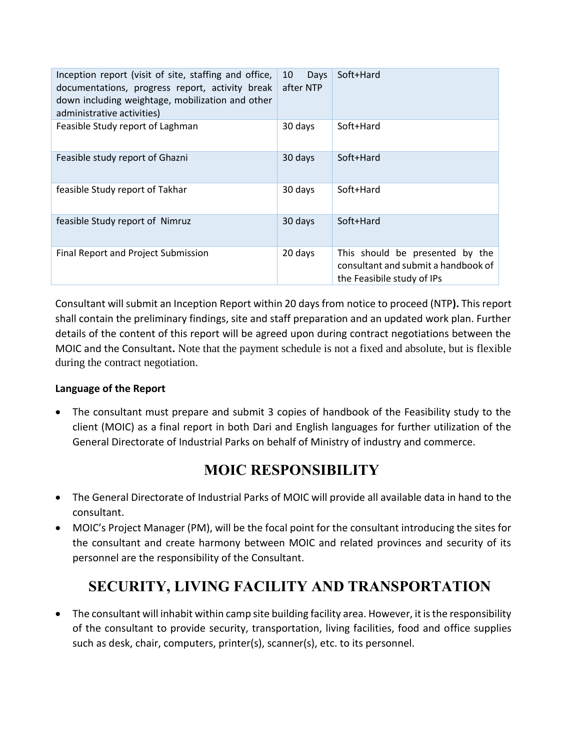| Inception report (visit of site, staffing and office,<br>documentations, progress report, activity break<br>down including weightage, mobilization and other<br>administrative activities) | Days<br>10<br>after NTP | Soft+Hard                                                                                            |
|--------------------------------------------------------------------------------------------------------------------------------------------------------------------------------------------|-------------------------|------------------------------------------------------------------------------------------------------|
| Feasible Study report of Laghman                                                                                                                                                           | 30 days                 | Soft+Hard                                                                                            |
| Feasible study report of Ghazni                                                                                                                                                            | 30 days                 | Soft+Hard                                                                                            |
| feasible Study report of Takhar                                                                                                                                                            | 30 days                 | Soft+Hard                                                                                            |
| feasible Study report of Nimruz                                                                                                                                                            | 30 days                 | Soft+Hard                                                                                            |
| Final Report and Project Submission                                                                                                                                                        | 20 days                 | This should be presented by the<br>consultant and submit a handbook of<br>the Feasibile study of IPs |

Consultant will submit an Inception Report within 20 days from notice to proceed (NTP**).** This report shall contain the preliminary findings, site and staff preparation and an updated work plan. Further details of the content of this report will be agreed upon during contract negotiations between the MOIC and the Consultant**.** Note that the payment schedule is not a fixed and absolute, but is flexible during the contract negotiation.

#### **Language of the Report**

 The consultant must prepare and submit 3 copies of handbook of the Feasibility study to the client (MOIC) as a final report in both Dari and English languages for further utilization of the General Directorate of Industrial Parks on behalf of Ministry of industry and commerce.

### **MOIC RESPONSIBILITY**

- The General Directorate of Industrial Parks of MOIC will provide all available data in hand to the consultant.
- MOIC's Project Manager (PM), will be the focal point for the consultant introducing the sites for the consultant and create harmony between MOIC and related provinces and security of its personnel are the responsibility of the Consultant.

# **SECURITY, LIVING FACILITY AND TRANSPORTATION**

 The consultant will inhabit within camp site building facility area. However, it is the responsibility of the consultant to provide security, transportation, living facilities, food and office supplies such as desk, chair, computers, printer(s), scanner(s), etc. to its personnel.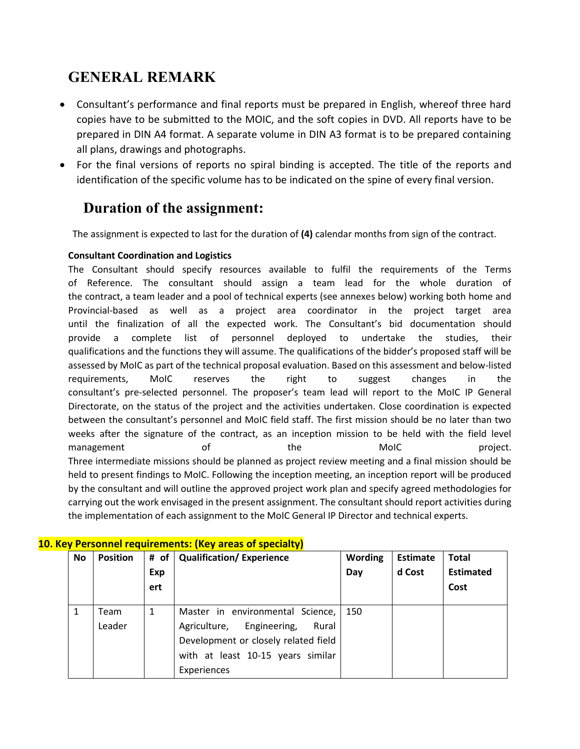## **GENERAL REMARK**

- Consultant's performance and final reports must be prepared in English, whereof three hard copies have to be submitted to the MOIC, and the soft copies in DVD. All reports have to be prepared in DIN A4 format. A separate volume in DIN A3 format is to be prepared containing all plans, drawings and photographs.
- For the final versions of reports no spiral binding is accepted. The title of the reports and identification of the specific volume has to be indicated on the spine of every final version.

### **Duration of the assignment:**

The assignment is expected to last for the duration of **(4)** calendar months from sign of the contract.

#### **Consultant Coordination and Logistics**

The Consultant should specify resources available to fulfil the requirements of the Terms of Reference. The consultant should assign a team lead for the whole duration of the contract, a team leader and a pool of technical experts (see annexes below) working both home and Provincial-based as well as a project area coordinator in the project target area until the finalization of all the expected work. The Consultant's bid documentation should provide a complete list of personnel deployed to undertake the studies, their qualifications and the functions they will assume. The qualifications of the bidder's proposed staff will be assessed by MoIC as part of the technical proposal evaluation. Based on this assessment and below-listed requirements, MoIC reserves the right to suggest changes in the consultant's pre-selected personnel. The proposer's team lead will report to the MoIC IP General Directorate, on the status of the project and the activities undertaken. Close coordination is expected between the consultant's personnel and MoIC field staff. The first mission should be no later than two weeks after the signature of the contract, as an inception mission to be held with the field level management of the MoIC project. Three intermediate missions should be planned as project review meeting and a final mission should be held to present findings to MoIC. Following the inception meeting, an inception report will be produced by the consultant and will outline the approved project work plan and specify agreed methodologies for carrying out the work envisaged in the present assignment. The consultant should report activities during the implementation of each assignment to the MoIC General IP Director and technical experts.

| <u>tev Personnel requirements: (Nev areas of specialty)</u> |                 |     |                                      |                |                 |                  |  |
|-------------------------------------------------------------|-----------------|-----|--------------------------------------|----------------|-----------------|------------------|--|
| No.                                                         | <b>Position</b> |     | # of   Qualification/ Experience     | <b>Wording</b> | <b>Estimate</b> | <b>Total</b>     |  |
|                                                             |                 | Exp |                                      | Day            | d Cost          | <b>Estimated</b> |  |
|                                                             |                 | ert |                                      |                |                 | Cost             |  |
|                                                             |                 |     |                                      |                |                 |                  |  |
|                                                             | Team            | 1   | Master in environmental Science,     | 150            |                 |                  |  |
|                                                             | Leader          |     | Agriculture, Engineering,<br>Rural   |                |                 |                  |  |
|                                                             |                 |     | Development or closely related field |                |                 |                  |  |
|                                                             |                 |     | with at least 10-15 years similar    |                |                 |                  |  |
|                                                             |                 |     | Experiences                          |                |                 |                  |  |
|                                                             |                 |     |                                      |                |                 |                  |  |

#### **10. Key Personnel requirements: (Key areas of specialty)**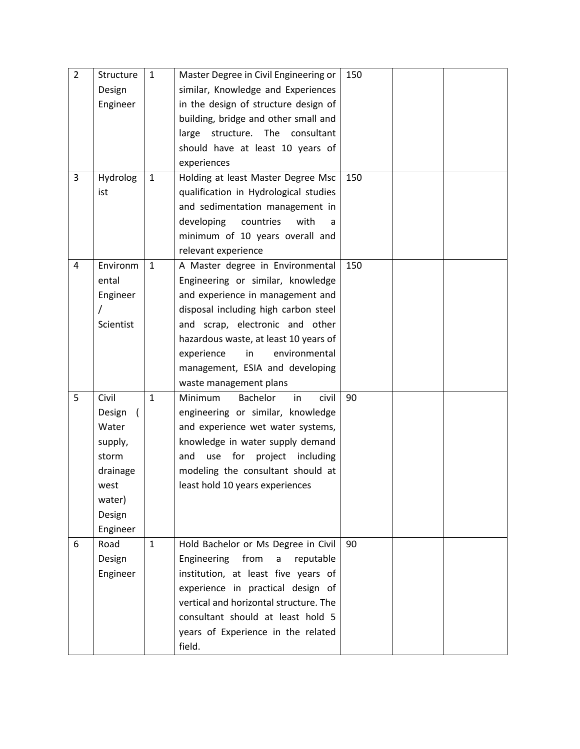| $\overline{2}$<br>3 | Structure<br>Design<br>Engineer<br>Hydrolog<br>ist                                                           | $\mathbf{1}$<br>1 | Master Degree in Civil Engineering or<br>similar, Knowledge and Experiences<br>in the design of structure design of<br>building, bridge and other small and<br>large structure. The consultant<br>should have at least 10 years of<br>experiences<br>Holding at least Master Degree Msc<br>qualification in Hydrological studies<br>and sedimentation management in<br>developing<br>countries<br>with<br>minimum of 10 years overall and | 150<br>150 |  |
|---------------------|--------------------------------------------------------------------------------------------------------------|-------------------|-------------------------------------------------------------------------------------------------------------------------------------------------------------------------------------------------------------------------------------------------------------------------------------------------------------------------------------------------------------------------------------------------------------------------------------------|------------|--|
| 4                   | Environm<br>ental<br>Engineer<br>Scientist                                                                   | $\mathbf{1}$      | relevant experience<br>A Master degree in Environmental<br>Engineering or similar, knowledge<br>and experience in management and<br>disposal including high carbon steel<br>and scrap, electronic and other<br>hazardous waste, at least 10 years of<br>environmental<br>experience<br>in<br>management, ESIA and developing<br>waste management plans                                                                                    | 150        |  |
| 5                   | Civil<br>Design<br>$\left($<br>Water<br>supply,<br>storm<br>drainage<br>west<br>water)<br>Design<br>Engineer | $\mathbf{1}$      | Minimum<br><b>Bachelor</b><br>in<br>civil<br>engineering or similar, knowledge<br>and experience wet water systems,<br>knowledge in water supply demand<br>and<br>use for<br>project including<br>modeling the consultant should at<br>least hold 10 years experiences                                                                                                                                                                    | 90         |  |
| 6                   | Road<br>Design<br>Engineer                                                                                   | $\mathbf{1}$      | Hold Bachelor or Ms Degree in Civil<br>Engineering from<br>reputable<br>a<br>institution, at least five years of<br>experience in practical design of<br>vertical and horizontal structure. The<br>consultant should at least hold 5<br>years of Experience in the related<br>field.                                                                                                                                                      | 90         |  |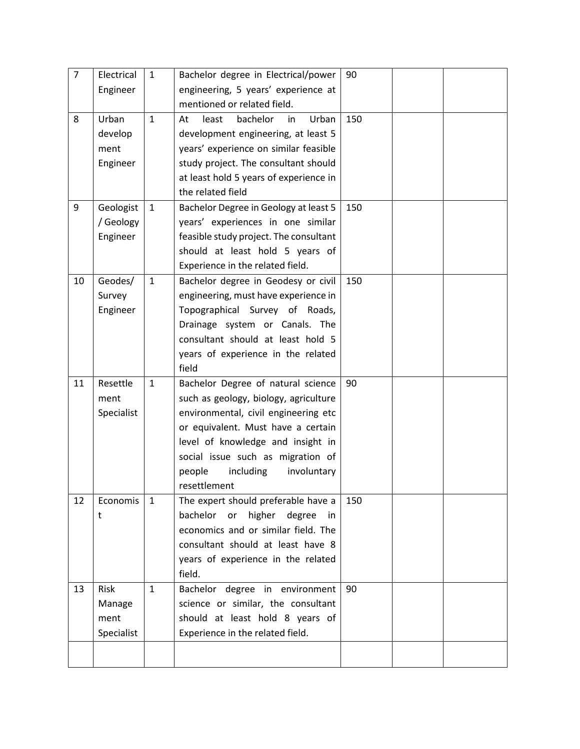| $\overline{7}$ | Electrical | $\mathbf{1}$ | Bachelor degree in Electrical/power       | 90  |  |
|----------------|------------|--------------|-------------------------------------------|-----|--|
|                | Engineer   |              | engineering, 5 years' experience at       |     |  |
|                |            |              | mentioned or related field.               |     |  |
| 8              | Urban      | $\mathbf{1}$ | Urban<br>least<br>bachelor<br>At<br>in    | 150 |  |
|                | develop    |              | development engineering, at least 5       |     |  |
|                | ment       |              | years' experience on similar feasible     |     |  |
|                | Engineer   |              | study project. The consultant should      |     |  |
|                |            |              | at least hold 5 years of experience in    |     |  |
|                |            |              | the related field                         |     |  |
| 9              | Geologist  | $\mathbf{1}$ | Bachelor Degree in Geology at least 5     | 150 |  |
|                | / Geology  |              | years' experiences in one similar         |     |  |
|                | Engineer   |              | feasible study project. The consultant    |     |  |
|                |            |              | should at least hold 5 years of           |     |  |
|                |            |              | Experience in the related field.          |     |  |
| 10             | Geodes/    | $\mathbf{1}$ | Bachelor degree in Geodesy or civil       | 150 |  |
|                | Survey     |              | engineering, must have experience in      |     |  |
|                | Engineer   |              | Topographical Survey of Roads,            |     |  |
|                |            |              | Drainage system or Canals. The            |     |  |
|                |            |              | consultant should at least hold 5         |     |  |
|                |            |              | years of experience in the related        |     |  |
|                |            |              | field                                     |     |  |
| 11             | Resettle   | $\mathbf{1}$ | Bachelor Degree of natural science        | 90  |  |
|                | ment       |              | such as geology, biology, agriculture     |     |  |
|                | Specialist |              | environmental, civil engineering etc      |     |  |
|                |            |              | or equivalent. Must have a certain        |     |  |
|                |            |              | level of knowledge and insight in         |     |  |
|                |            |              | social issue such as migration of         |     |  |
|                |            |              | including<br>involuntary<br>people        |     |  |
|                |            |              | resettlement                              |     |  |
| 12             | Economis   | $\mathbf{1}$ | The expert should preferable have a       | 150 |  |
|                | t          |              | bachelor<br>higher<br>or<br>degree<br>in. |     |  |
|                |            |              | economics and or similar field. The       |     |  |
|                |            |              | consultant should at least have 8         |     |  |
|                |            |              | years of experience in the related        |     |  |
|                |            |              | field.                                    |     |  |
| 13             | Risk       | $\mathbf{1}$ | Bachelor degree in environment            | 90  |  |
|                | Manage     |              | science or similar, the consultant        |     |  |
|                | ment       |              | should at least hold 8 years of           |     |  |
|                | Specialist |              | Experience in the related field.          |     |  |
|                |            |              |                                           |     |  |
|                |            |              |                                           |     |  |